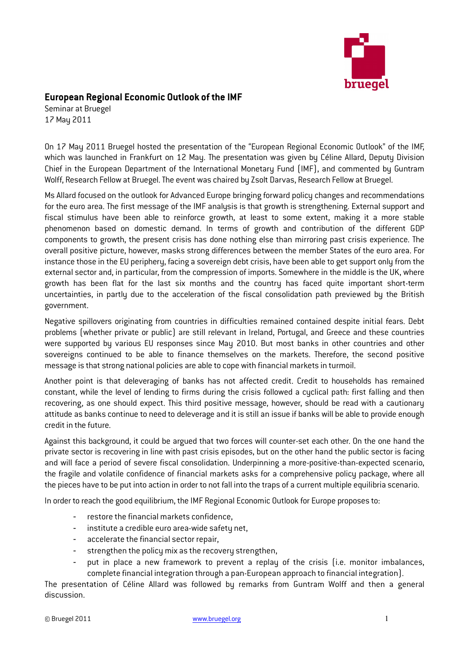

## European Regional Economic Outlook of the IMF

Seminar at Bruegel 17 May 2011

On 17 May 2011 Bruegel hosted the presentation of the "European Regional Economic Outlook" of the IMF, which was launched in Frankfurt on 12 May. The presentation was given by Céline Allard, Deputy Division Chief in the European Department of the International Monetary Fund (IMF), and commented by Guntram Wolff, Research Fellow at Bruegel. The event was chaired by Zsolt Darvas, Research Fellow at Bruegel.

Ms Allard focused on the outlook for Advanced Europe bringing forward policy changes and recommendations for the euro area. The first message of the IMF analysis is that growth is strengthening. External support and fiscal stimulus have been able to reinforce growth, at least to some extent, making it a more stable phenomenon based on domestic demand. In terms of growth and contribution of the different GDP components to growth, the present crisis has done nothing else than mirroring past crisis experience. The overall positive picture, however, masks strong differences between the member States of the euro area. For instance those in the EU periphery, facing a sovereign debt crisis, have been able to get support only from the external sector and, in particular, from the compression of imports. Somewhere in the middle is the UK, where growth has been flat for the last six months and the country has faced quite important short-term uncertainties, in partly due to the acceleration of the fiscal consolidation path previewed by the British government.

Negative spillovers originating from countries in difficulties remained contained despite initial fears. Debt problems (whether private or public) are still relevant in Ireland, Portugal, and Greece and these countries were supported by various EU responses since May 2010. But most banks in other countries and other sovereigns continued to be able to finance themselves on the markets. Therefore, the second positive message is that strong national policies are able to cope with financial markets in turmoil.

Another point is that deleveraging of banks has not affected credit. Credit to households has remained constant, while the level of lending to firms during the crisis followed a cyclical path: first falling and then recovering, as one should expect. This third positive message, however, should be read with a cautionary attitude as banks continue to need to deleverage and it is still an issue if banks will be able to provide enough credit in the future.

Against this background, it could be argued that two forces will counter-set each other. On the one hand the private sector is recovering in line with past crisis episodes, but on the other hand the public sector is facing and will face a period of severe fiscal consolidation. Underpinning a more-positive-than-expected scenario, the fragile and volatile confidence of financial markets asks for a comprehensive policy package, where all the pieces have to be put into action in order to not fall into the traps of a current multiple equilibria scenario.

In order to reach the good equilibrium, the IMF Regional Economic Outlook for Europe proposes to:

- restore the financial markets confidence,
- institute a credible euro area-wide safety net,
- accelerate the financial sector repair,
- strengthen the policy mix as the recovery strengthen,
- put in place a new framework to prevent a replay of the crisis  $[i.e.$  monitor imbalances, complete financial integration through a pan-European approach to financial integration).

The presentation of Céline Allard was followed by remarks from Guntram Wolff and then a general discussion.